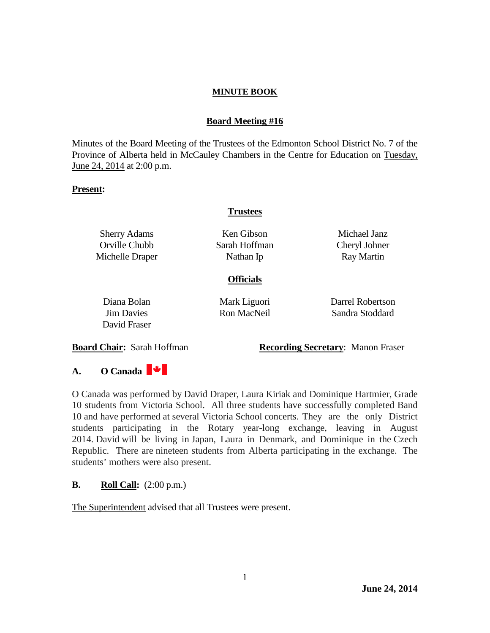## **Board Meeting #16**

Minutes of the Board Meeting of the Trustees of the Edmonton School District No. 7 of the Province of Alberta held in McCauley Chambers in the Centre for Education on Tuesday, June 24, 2014 at 2:00 p.m.

### **Present:**

## **Trustees**

Sherry Adams Orville Chubb Michelle Draper

Ken Gibson Sarah Hoffman Nathan Ip

Michael Janz Cheryl Johner Ray Martin

## **Officials**

Diana Bolan Jim Davies David Fraser Mark Liguori Ron MacNeil

Darrel Robertson Sandra Stoddard

**Board Chair:** Sarah Hoffman **Recording Secretary**: Manon Fraser

# **A. O Canada**

O Canada was performed by David Draper, Laura Kiriak and Dominique Hartmier, Grade 10 students from Victoria School. All three students have successfully completed Band 10 and have performed at several Victoria School concerts. They are the only District students participating in the Rotary year-long exchange, leaving in August 2014. David will be living in Japan, Laura in Denmark, and Dominique in the Czech Republic. There are nineteen students from Alberta participating in the exchange. The students' mothers were also present.

## **B. Roll Call:**  $(2:00 \text{ p.m.})$

The Superintendent advised that all Trustees were present.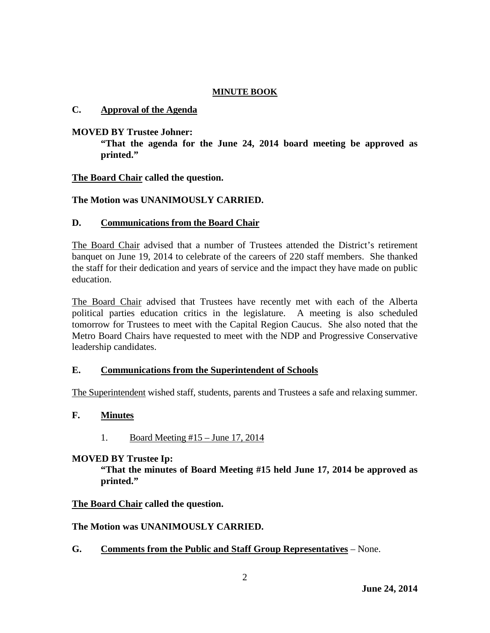### **C. Approval of the Agenda**

### **MOVED BY Trustee Johner:**

**"That the agenda for the June 24, 2014 board meeting be approved as printed."**

### **The Board Chair called the question.**

## **The Motion was UNANIMOUSLY CARRIED.**

### **D. Communications from the Board Chair**

The Board Chair advised that a number of Trustees attended the District's retirement banquet on June 19, 2014 to celebrate of the careers of 220 staff members. She thanked the staff for their dedication and years of service and the impact they have made on public education.

The Board Chair advised that Trustees have recently met with each of the Alberta political parties education critics in the legislature. A meeting is also scheduled tomorrow for Trustees to meet with the Capital Region Caucus. She also noted that the Metro Board Chairs have requested to meet with the NDP and Progressive Conservative leadership candidates.

### **E. Communications from the Superintendent of Schools**

The Superintendent wished staff, students, parents and Trustees a safe and relaxing summer.

## **F. Minutes**

1. Board Meeting #15 – June 17, 2014

### **MOVED BY Trustee Ip:**

**"That the minutes of Board Meeting #15 held June 17, 2014 be approved as printed."** 

### **The Board Chair called the question.**

## **The Motion was UNANIMOUSLY CARRIED.**

**G. Comments from the Public and Staff Group Representatives** – None.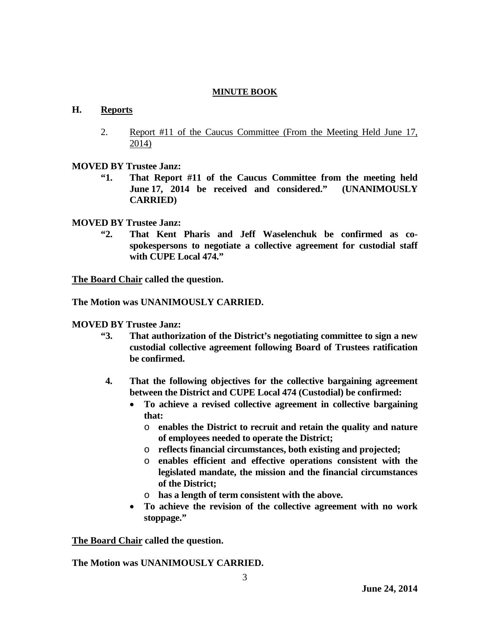### **H. Reports**

- 2. Report #11 of the Caucus Committee (From the Meeting Held June 17, 2014)
- **MOVED BY Trustee Janz:**
	- **"1. That Report #11 of the Caucus Committee from the meeting held June 17, 2014 be received and considered." (UNANIMOUSLY CARRIED)**
- **MOVED BY Trustee Janz:**
	- **"2. That Kent Pharis and Jeff Waselenchuk be confirmed as cospokespersons to negotiate a collective agreement for custodial staff with CUPE Local 474."**

**The Board Chair called the question.**

**The Motion was UNANIMOUSLY CARRIED.**

#### **MOVED BY Trustee Janz:**

- **"3. That authorization of the District's negotiating committee to sign a new custodial collective agreement following Board of Trustees ratification be confirmed.**
- **4. That the following objectives for the collective bargaining agreement between the District and CUPE Local 474 (Custodial) be confirmed:**
	- **To achieve a revised collective agreement in collective bargaining that:**
		- o **enables the District to recruit and retain the quality and nature of employees needed to operate the District;**
		- o **reflects financial circumstances, both existing and projected;**
		- o **enables efficient and effective operations consistent with the legislated mandate, the mission and the financial circumstances of the District;**
		- o **has a length of term consistent with the above.**
	- **To achieve the revision of the collective agreement with no work stoppage."**

**The Board Chair called the question.**

**The Motion was UNANIMOUSLY CARRIED.**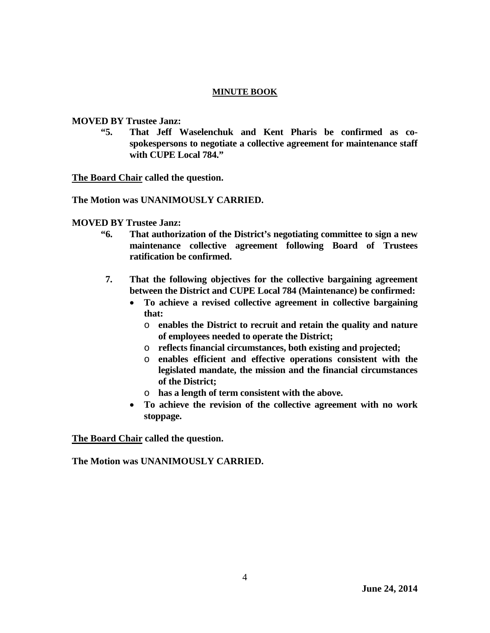### **MOVED BY Trustee Janz:**

**"5. That Jeff Waselenchuk and Kent Pharis be confirmed as cospokespersons to negotiate a collective agreement for maintenance staff with CUPE Local 784."**

**The Board Chair called the question.**

**The Motion was UNANIMOUSLY CARRIED.**

**MOVED BY Trustee Janz:**

- **"6. That authorization of the District's negotiating committee to sign a new maintenance collective agreement following Board of Trustees ratification be confirmed.**
- **7. That the following objectives for the collective bargaining agreement between the District and CUPE Local 784 (Maintenance) be confirmed:**
	- **To achieve a revised collective agreement in collective bargaining that:**
		- o **enables the District to recruit and retain the quality and nature of employees needed to operate the District;**
		- o **reflects financial circumstances, both existing and projected;**
		- o **enables efficient and effective operations consistent with the legislated mandate, the mission and the financial circumstances of the District;**
		- o **has a length of term consistent with the above.**
	- **To achieve the revision of the collective agreement with no work stoppage.**

**The Board Chair called the question.**

**The Motion was UNANIMOUSLY CARRIED.**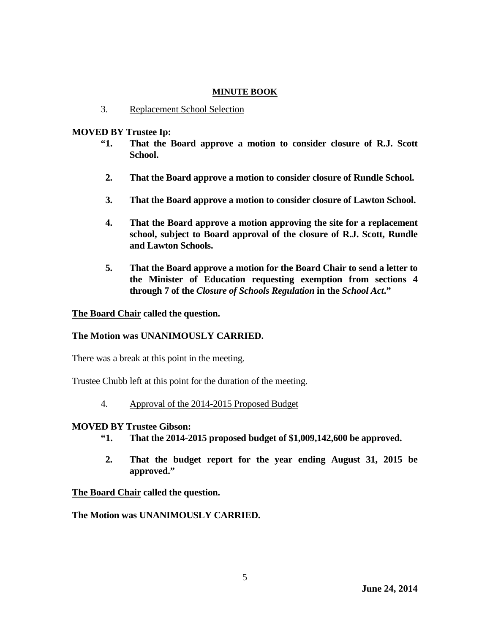3. Replacement School Selection

### **MOVED BY Trustee Ip:**

- **"1. That the Board approve a motion to consider closure of R.J. Scott School.**
- **2. That the Board approve a motion to consider closure of Rundle School.**
- **3. That the Board approve a motion to consider closure of Lawton School.**
- **4. That the Board approve a motion approving the site for a replacement school, subject to Board approval of the closure of R.J. Scott, Rundle and Lawton Schools.**
- **5. That the Board approve a motion for the Board Chair to send a letter to the Minister of Education requesting exemption from sections 4 through 7 of the** *Closure of Schools Regulation* **in the** *School Act***."**

**The Board Chair called the question.**

## **The Motion was UNANIMOUSLY CARRIED.**

There was a break at this point in the meeting.

Trustee Chubb left at this point for the duration of the meeting.

4. Approval of the 2014-2015 Proposed Budget

## **MOVED BY Trustee Gibson:**

- **"1. That the 2014-2015 proposed budget of \$1,009,142,600 be approved.**
- **2. That the budget report for the year ending August 31, 2015 be approved."**

**The Board Chair called the question.**

**The Motion was UNANIMOUSLY CARRIED.**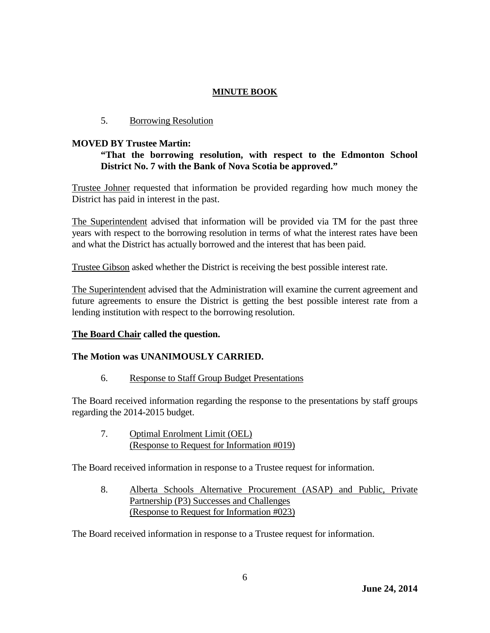### 5. Borrowing Resolution

### **MOVED BY Trustee Martin:**

## **"That the borrowing resolution, with respect to the Edmonton School District No. 7 with the Bank of Nova Scotia be approved."**

Trustee Johner requested that information be provided regarding how much money the District has paid in interest in the past.

The Superintendent advised that information will be provided via TM for the past three years with respect to the borrowing resolution in terms of what the interest rates have been and what the District has actually borrowed and the interest that has been paid.

Trustee Gibson asked whether the District is receiving the best possible interest rate.

The Superintendent advised that the Administration will examine the current agreement and future agreements to ensure the District is getting the best possible interest rate from a lending institution with respect to the borrowing resolution.

## **The Board Chair called the question.**

## **The Motion was UNANIMOUSLY CARRIED.**

6. Response to Staff Group Budget Presentations

The Board received information regarding the response to the presentations by staff groups regarding the 2014-2015 budget.

7. Optimal Enrolment Limit (OEL) (Response to Request for Information #019)

The Board received information in response to a Trustee request for information.

8. Alberta Schools Alternative Procurement (ASAP) and Public, Private Partnership (P3) Successes and Challenges (Response to Request for Information #023)

The Board received information in response to a Trustee request for information.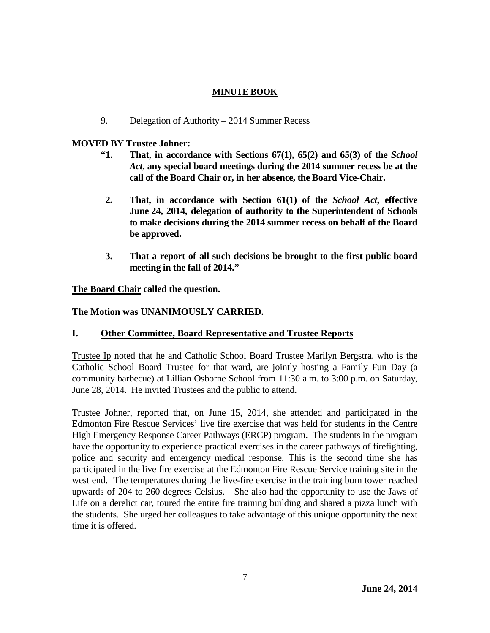### 9. Delegation of Authority – 2014 Summer Recess

### **MOVED BY Trustee Johner:**

- **"1. That, in accordance with Sections 67(1), 65(2) and 65(3) of the** *School Act***, any special board meetings during the 2014 summer recess be at the call of the Board Chair or, in her absence, the Board Vice-Chair.**
- **2. That, in accordance with Section 61(1) of the** *School Act***, effective June 24, 2014, delegation of authority to the Superintendent of Schools to make decisions during the 2014 summer recess on behalf of the Board be approved.**
- **3. That a report of all such decisions be brought to the first public board meeting in the fall of 2014."**

**The Board Chair called the question.**

**The Motion was UNANIMOUSLY CARRIED.**

## **I. Other Committee, Board Representative and Trustee Reports**

Trustee Ip noted that he and Catholic School Board Trustee Marilyn Bergstra, who is the Catholic School Board Trustee for that ward, are jointly hosting a Family Fun Day (a community barbecue) at Lillian Osborne School from 11:30 a.m. to 3:00 p.m. on Saturday, June 28, 2014. He invited Trustees and the public to attend.

Trustee Johner, reported that, on June 15, 2014, she attended and participated in the Edmonton Fire Rescue Services' live fire exercise that was held for students in the Centre High Emergency Response Career Pathways (ERCP) program. The students in the program have the opportunity to experience practical exercises in the career pathways of firefighting, police and security and emergency medical response. This is the second time she has participated in the live fire exercise at the Edmonton Fire Rescue Service training site in the west end. The temperatures during the live-fire exercise in the training burn tower reached upwards of 204 to 260 degrees Celsius. She also had the opportunity to use the Jaws of Life on a derelict car, toured the entire fire training building and shared a pizza lunch with the students. She urged her colleagues to take advantage of this unique opportunity the next time it is offered.